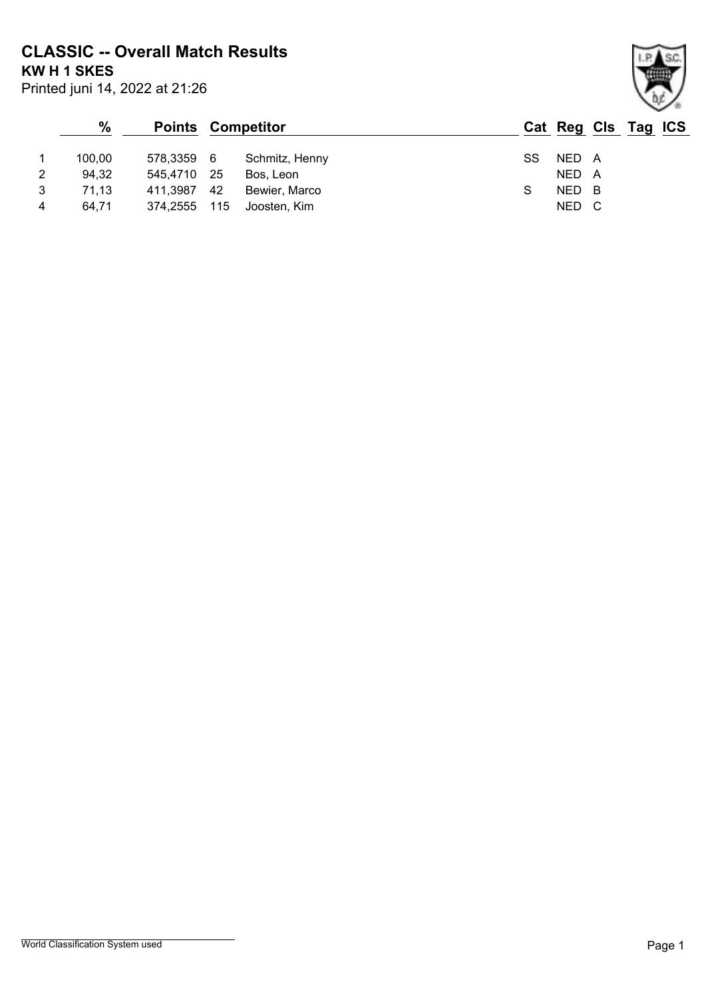**CLASSIC -- Overall Match Results**

**KW H 1 SKES**

| Printed juni 14, 2022 at 21:26 |  |  |
|--------------------------------|--|--|
|--------------------------------|--|--|

### **% Points Competitor Cat Reg Cls Tag ICS** 1 100,00 578,3359 6 Schmitz, Henny SS NED A 2 94,32 545,4710 25 Bos, Leon NED A 3 71,13 411,3987 42 Bewier, Marco S NED B 4 64,71 374,2555 115 Joosten, Kim NED C

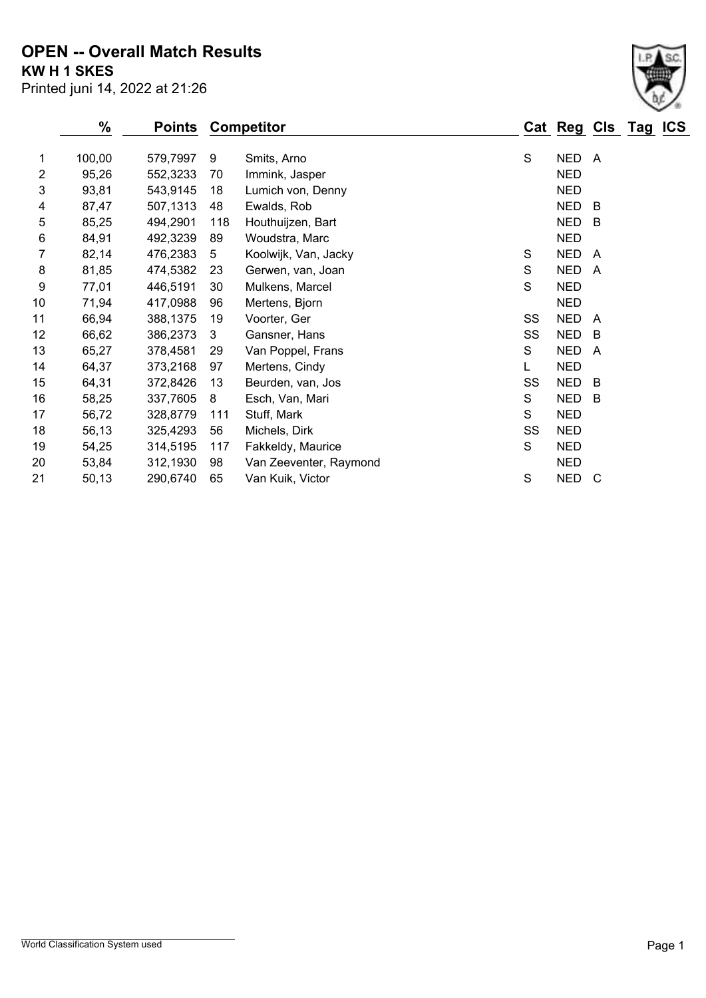#### **KW H 1 SKES OPEN -- Overall Match Results**

|                | %      | <b>Points</b> |     | <b>Competitor</b>      |    | Cat Reg Cls Tag |                | <b>ICS</b> |
|----------------|--------|---------------|-----|------------------------|----|-----------------|----------------|------------|
| 1              | 100,00 | 579,7997      | 9   | Smits, Arno            | S  | <b>NED</b>      | A              |            |
| $\overline{2}$ | 95,26  | 552,3233      | 70  | Immink, Jasper         |    | <b>NED</b>      |                |            |
| 3              | 93,81  | 543,9145      | 18  | Lumich von, Denny      |    | <b>NED</b>      |                |            |
| 4              | 87,47  | 507,1313      | 48  | Ewalds, Rob            |    | <b>NED</b>      | B              |            |
| 5              | 85,25  | 494,2901      | 118 | Houthuijzen, Bart      |    | <b>NED</b>      | B              |            |
| 6              | 84,91  | 492,3239      | 89  | Woudstra, Marc         |    | <b>NED</b>      |                |            |
| 7              | 82,14  | 476,2383      | 5   | Koolwijk, Van, Jacky   | S  | <b>NED</b>      | A              |            |
| 8              | 81,85  | 474,5382      | 23  | Gerwen, van, Joan      | S  | <b>NED</b>      | A              |            |
| 9              | 77,01  | 446,5191      | 30  | Mulkens, Marcel        | S  | <b>NED</b>      |                |            |
| 10             | 71,94  | 417,0988      | 96  | Mertens, Bjorn         |    | <b>NED</b>      |                |            |
| 11             | 66,94  | 388,1375      | 19  | Voorter, Ger           | SS | <b>NED</b>      | A              |            |
| 12             | 66,62  | 386,2373      | 3   | Gansner, Hans          | SS | <b>NED</b>      | B              |            |
| 13             | 65,27  | 378,4581      | 29  | Van Poppel, Frans      | S  | <b>NED</b>      | $\overline{A}$ |            |
| 14             | 64,37  | 373,2168      | 97  | Mertens, Cindy         |    | <b>NED</b>      |                |            |
| 15             | 64,31  | 372,8426      | 13  | Beurden, van, Jos      | SS | <b>NED</b>      | B              |            |
| 16             | 58,25  | 337,7605      | 8   | Esch, Van, Mari        | S  | <b>NED</b>      | B              |            |
| 17             | 56,72  | 328,8779      | 111 | Stuff, Mark            | S  | <b>NED</b>      |                |            |
| 18             | 56,13  | 325,4293      | 56  | Michels, Dirk          | SS | <b>NED</b>      |                |            |
| 19             | 54,25  | 314,5195      | 117 | Fakkeldy, Maurice      | S  | <b>NED</b>      |                |            |
| 20             | 53,84  | 312,1930      | 98  | Van Zeeventer, Raymond |    | <b>NED</b>      |                |            |
| 21             | 50,13  | 290,6740      | 65  | Van Kuik, Victor       | S  | <b>NED</b>      | C              |            |

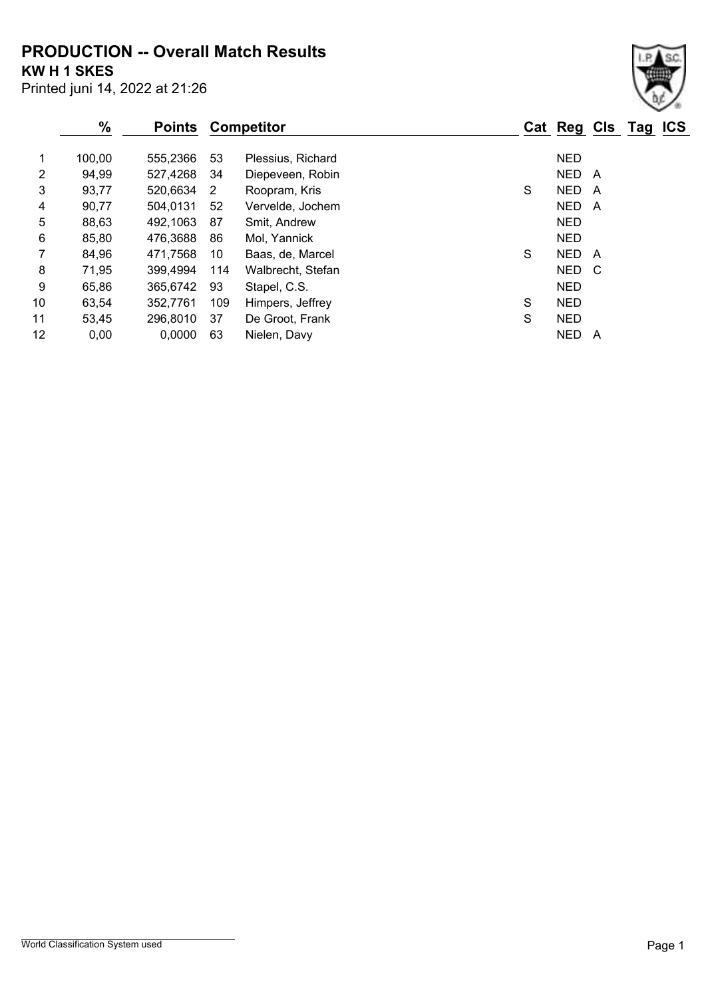**PRODUCTION -- Overall Match Results**

**KW H 1 SKES**

|                   | $\%$   | <b>Points Competitor</b> |     |                   |   | Cat Reg Cls Tag ICS |   |  |
|-------------------|--------|--------------------------|-----|-------------------|---|---------------------|---|--|
|                   | 100,00 | 555,2366                 | 53  | Plessius, Richard |   | <b>NED</b>          |   |  |
| 2                 | 94,99  | 527,4268                 | 34  | Diepeveen, Robin  |   | NED.                | A |  |
| 3                 | 93,77  | 520,6634                 | 2   | Roopram, Kris     | S | <b>NED</b>          | A |  |
| 4                 | 90,77  | 504,0131                 | 52  | Vervelde, Jochem  |   | <b>NED</b>          | A |  |
| 5                 | 88,63  | 492,1063                 | 87  | Smit, Andrew      |   | <b>NED</b>          |   |  |
| 6                 | 85,80  | 476,3688                 | 86  | Mol, Yannick      |   | <b>NED</b>          |   |  |
| 7                 | 84,96  | 471,7568                 | 10  | Baas, de, Marcel  | S | <b>NED</b>          | A |  |
| 8                 | 71,95  | 399,4994                 | 114 | Walbrecht, Stefan |   | NED C               |   |  |
| 9                 | 65,86  | 365,6742                 | 93  | Stapel, C.S.      |   | <b>NED</b>          |   |  |
| 10                | 63,54  | 352,7761                 | 109 | Himpers, Jeffrey  | S | <b>NED</b>          |   |  |
| 11                | 53,45  | 296,8010                 | 37  | De Groot, Frank   | S | <b>NED</b>          |   |  |
| $12 \overline{ }$ | 0,00   | 0.0000                   | 63  | Nielen, Davy      |   | <b>NED</b>          | A |  |

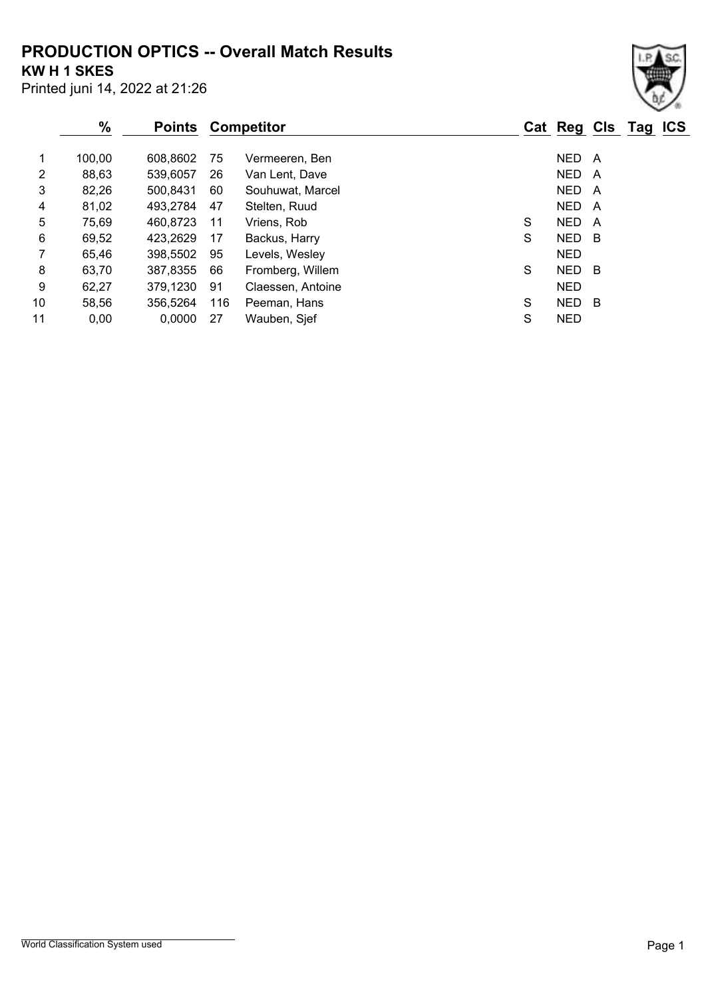# **PRODUCTION OPTICS -- Overall Match Results**

**KW H 1 SKES**

| Printed juni 14, 2022 at 21:26 |  |  |  |  |  |
|--------------------------------|--|--|--|--|--|
|--------------------------------|--|--|--|--|--|

|                | $\%$   |          |     | <b>Points Competitor</b> |   | Cat Reg Cls Tag ICS |     |  |
|----------------|--------|----------|-----|--------------------------|---|---------------------|-----|--|
|                | 100,00 | 608,8602 | 75  | Vermeeren, Ben           |   | NED A               |     |  |
| $\overline{2}$ | 88,63  | 539,6057 | 26  | Van Lent, Dave           |   | NED.                | A   |  |
| 3              | 82,26  | 500,8431 | 60  | Souhuwat, Marcel         |   | NED A               |     |  |
| 4              | 81,02  | 493,2784 | 47  | Stelten, Ruud            |   | NED A               |     |  |
| 5              | 75,69  | 460,8723 | 11  | Vriens, Rob              | S | <b>NED</b>          | A   |  |
| 6              | 69,52  | 423,2629 | 17  | Backus, Harry            | S | NED B               |     |  |
|                | 65,46  | 398,5502 | 95  | Levels, Wesley           |   | <b>NED</b>          |     |  |
| 8              | 63,70  | 387,8355 | 66  | Fromberg, Willem         | S | NED B               |     |  |
| 9              | 62,27  | 379,1230 | 91  | Claessen, Antoine        |   | <b>NED</b>          |     |  |
| 10             | 58,56  | 356,5264 | 116 | Peeman, Hans             | S | <b>NED</b>          | - B |  |
| 11             | 0,00   | 0,0000   | 27  | Wauben, Sjef             | S | <b>NED</b>          |     |  |

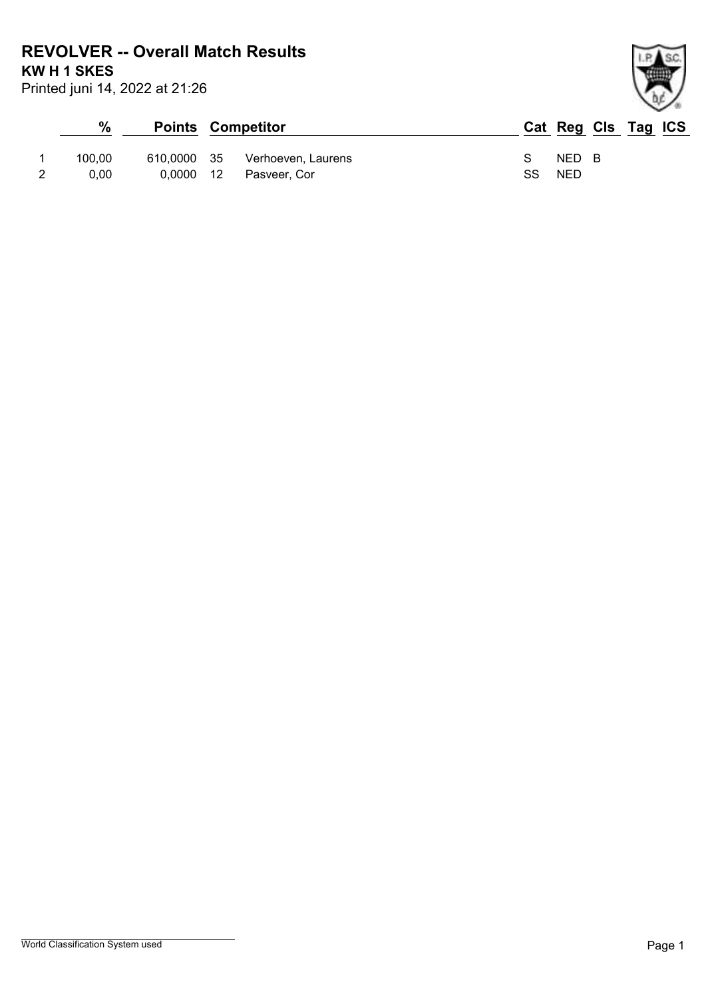**REVOLVER -- Overall Match Results**

**KW H 1 SKES**

| %      |           | <b>Points Competitor</b>       |               | Cat Reg Cls Tag ICS |  |  |
|--------|-----------|--------------------------------|---------------|---------------------|--|--|
| 100.00 |           | 610,0000 35 Verhoeven, Laurens | $\mathcal{S}$ | NED B               |  |  |
| 0.00   | 0.0000 12 | Pasveer, Cor                   | SS            | NED                 |  |  |

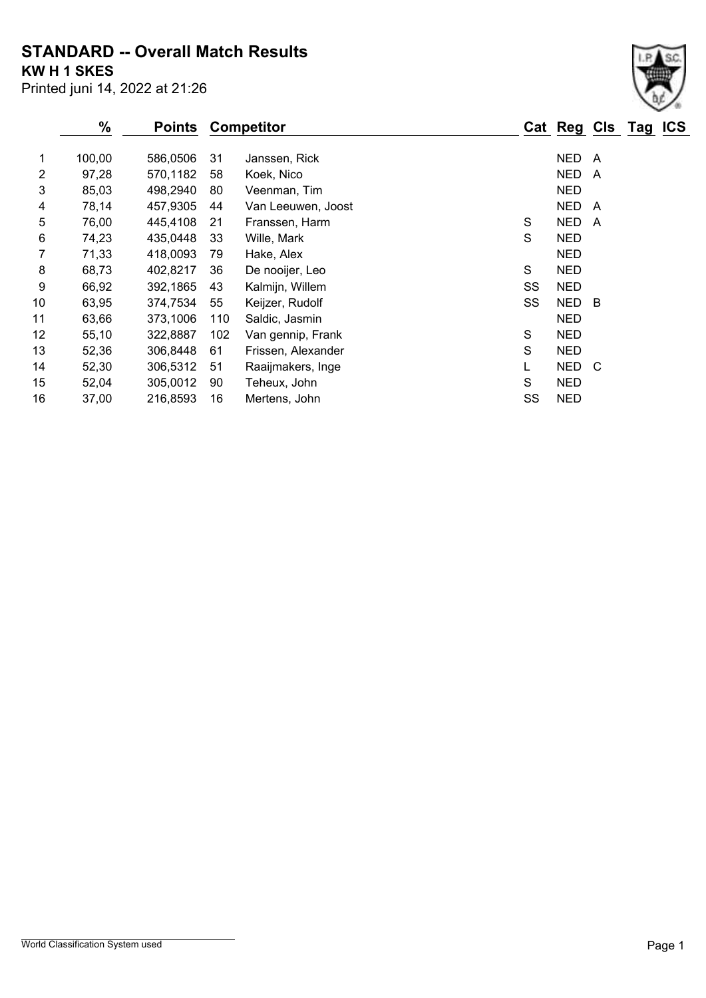## **STANDARD -- Overall Match Results**

**KW H 1 SKES**

|       | $\%$   | <b>Points</b> |     | <b>Competitor</b>  |    | Cat Reg Cls Tag ICS |     |  |
|-------|--------|---------------|-----|--------------------|----|---------------------|-----|--|
| 1     | 100,00 | 586,0506      | 31  | Janssen, Rick      |    | <b>NED</b>          | - A |  |
| 2     | 97,28  | 570,1182      | 58  | Koek, Nico         |    | <b>NED</b>          | A   |  |
| 3     | 85,03  | 498,2940      | 80  | Veenman, Tim       |    | <b>NED</b>          |     |  |
| 4     | 78,14  | 457,9305      | 44  | Van Leeuwen, Joost |    | <b>NED</b>          | A   |  |
| 5     | 76,00  | 445,4108      | 21  | Franssen, Harm     | S  | <b>NED</b>          | A   |  |
| $\,6$ | 74,23  | 435,0448      | 33  | Wille, Mark        | S  | <b>NED</b>          |     |  |
| 7     | 71,33  | 418,0093      | 79  | Hake, Alex         |    | <b>NED</b>          |     |  |
| 8     | 68,73  | 402,8217      | 36  | De nooijer, Leo    | S  | <b>NED</b>          |     |  |
| 9     | 66,92  | 392,1865      | 43  | Kalmijn, Willem    | SS | <b>NED</b>          |     |  |
| 10    | 63,95  | 374,7534      | 55  | Keijzer, Rudolf    | SS | NED B               |     |  |
| 11    | 63,66  | 373,1006      | 110 | Saldic, Jasmin     |    | <b>NED</b>          |     |  |
| 12    | 55,10  | 322,8887      | 102 | Van gennip, Frank  | S  | <b>NED</b>          |     |  |
| 13    | 52,36  | 306,8448      | 61  | Frissen, Alexander | S  | <b>NED</b>          |     |  |
| 14    | 52,30  | 306,5312      | 51  | Raaijmakers, Inge  | L  | NED C               |     |  |
| 15    | 52,04  | 305,0012      | 90  | Teheux, John       | S  | <b>NED</b>          |     |  |
| 16    | 37,00  | 216,8593      | 16  | Mertens, John      | SS | <b>NED</b>          |     |  |
|       |        |               |     |                    |    |                     |     |  |